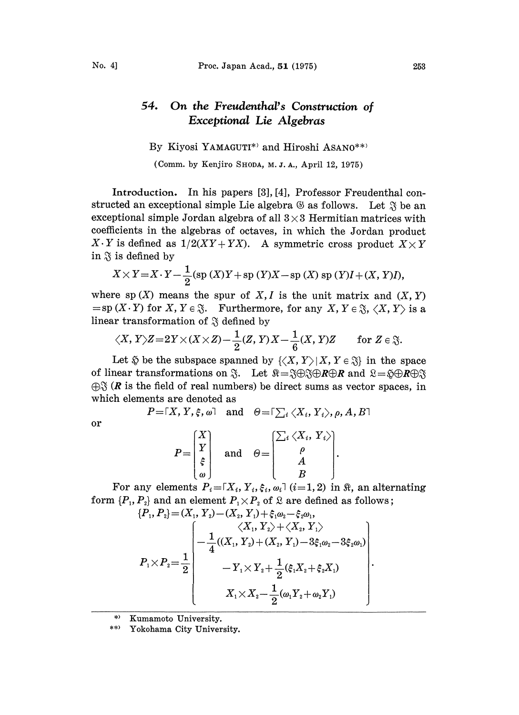## 54. On the Freudenthal's Construction of Exceptional Lie Algebras

By Kiyosi YAMAGUTI\*' and Hiroshi ASANO\*\*'

(Comm. by Kenjiro SHODA, M. J. A., April 12, 1975)

Introduction. In his papers [3], [4], Professor Freudenthal constructed an exceptional simple Lie algebra  $\mathcal G$  as follows. Let  $\mathcal S$  be an exceptional simple Jordan algebra of all  $3 \times 3$  Hermitian matrices with coefficients in the algebras of octaves, in which the Jordan product  $X \cdot Y$  is defined as  $1/2(XY + YX)$ . A symmetric cross product  $X \times Y$ in  $\tilde{\mathfrak{g}}$  is defined by

$$
X \times Y = X \cdot Y - \frac{1}{2} (\text{sp } (X)Y + \text{sp } (Y)X - \text{sp } (X) \text{ sp } (Y)I + (X, Y)I),
$$

where sp  $(X)$  means the spur of X, I is the unit matrix and  $(X, Y)$  $=\text{sp}(X \cdot Y)$  for  $X, Y \in \mathfrak{F}$ . Furthermore, for any  $X, Y \in \mathfrak{F}$ ,  $\langle X, Y \rangle$  is a linear transformation of  $\mathfrak{F}$  defined by

$$
\langle X, Y \rangle Z = 2Y \times (X \times Z) - \frac{1}{2}(Z, Y)X - \frac{1}{6}(X, Y)Z
$$
 for  $Z \in \mathfrak{F}$ .

Let  $\varphi$  be the subspace spanned by  $\{ \langle X, Y \rangle | X, Y \in \mathfrak{F} \}$  in the space of linear transformations on  $\mathfrak{F}$ . Let  $\mathfrak{K}=\mathfrak{F}\oplus\mathfrak{F}\oplus R\oplus R$  and  $\mathfrak{L}=\mathfrak{F}\oplus R\oplus\mathfrak{F}$  $\bigoplus_{i=1}^{\infty}$  (*R* is the field of real numbers) be direct sums as vector spaces, in which elements are denoted as

 $P = \lceil X, Y, \xi, \omega \rceil$  and  $\Theta = \lceil \sum_i \langle X_i, Y_i \rangle, \rho, A, B \rceil$ 

$$
\quad \text{or} \quad
$$

$$
P = \begin{bmatrix} X \\ Y \\ \xi \\ \omega \end{bmatrix} \quad \text{and} \quad \Theta = \begin{bmatrix} \sum_i \langle X_i, Y_i \rangle \\ \rho \\ A \\ B \end{bmatrix}
$$

For any elements  $P_i = \lceil X_i, Y_i, \xi_i, \omega_i \rceil$  (i=1, 2) in  $\Re$ , an alternating form  $\{P_1, P_2\}$  and an element  $P_1 \times P_2$  of  $\mathcal{R}$  are defined as follows;

$$
\{P_1, P_2\} = (X_1, Y_2) - (X_2, Y_1) + \xi_1 \omega_2 - \xi_2 \omega_1,
$$
  

$$
\langle X_1, Y_2 \rangle + \langle X_2, Y_1 \rangle
$$
  

$$
P_1 \times P_2 = \frac{1}{2} \begin{bmatrix} \langle X_1, Y_2 \rangle + \langle X_2, Y_1 \rangle \\ -\frac{1}{4}((X_1, Y_2) + (X_2, Y_1) - 3\xi_1\omega_2 - 3\xi_2\omega_1) \\ -Y_1 \times Y_2 + \frac{1}{2}(\xi_1 X_2 + \xi_2 X_1) \\ X_1 \times X_2 - \frac{1}{2}(\omega_1 Y_2 + \omega_2 Y_1) \end{bmatrix}
$$

Kumamoto University.

\*\* Yokohama City University.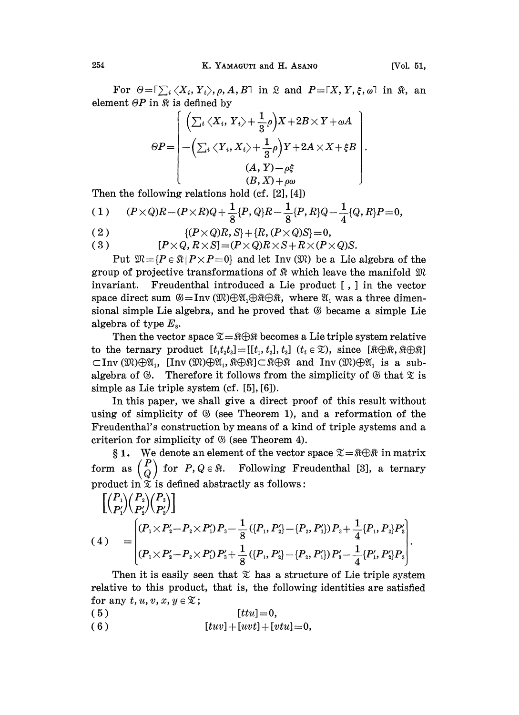For  $\Theta = \int_{i}^{L} \langle X_i, Y_i \rangle$ ,  $\rho$ ,  $A, B$  in  $\Omega$  and  $P = [X, Y, \xi, \omega]$  in  $\Re$ , and element  $\Theta P$  in  $\Re$  is defined by

$$
\Theta P = \begin{pmatrix} \left( \sum_i \langle X_i, Y_i \rangle + \frac{1}{3} \rho \right) X + 2B \times Y + \omega A \\ - \left( \sum_i \langle Y_i, X_i \rangle + \frac{1}{3} \rho \right) Y + 2A \times X + \xi B \\ (A, Y) - \rho \xi \\ (B, X) + \rho \omega \end{pmatrix}.
$$

Then the following relations hold (cf. [2], [4])

(1) 
$$
(P \times Q)R - (P \times R)Q + \frac{1}{8}\{P,Q\}R - \frac{1}{8}\{P,R\}Q - \frac{1}{4}\{Q,R\}P = 0,
$$

(2) 
$$
\{(P \times Q)R, S\} + \{R, (P \times Q)S\} = 0,
$$

(3) 
$$
[P \times Q, R \times S] = (P \times Q)R \times S + R \times (P \times Q)S.
$$

Put  $\mathfrak{M}=\{P\in\mathbb{R} | P\times P=0\}$  and let Inv  $(\mathfrak{M})$  be a Lie algebra of the group of projective transformations of  $\Re$  which leave the manifold  $\Re$ invariant. Freudenthal introduced a Lie product [, ] in the vector space direct sum  $\mathcal{B} = \text{Inv}(\mathfrak{M}) \oplus \mathfrak{A}_1 \oplus \mathfrak{R} \oplus \mathfrak{R}$ , where  $\mathfrak{A}_1$  was a three dimensional simple Lie algebra, and he proved that  $\mathcal G$  became a simple Lie algebra of type  $E_s$ .

Then the vector space  $\Sigma = \Re \Theta \Re$  becomes a Lie triple system relative to the ternary product  $[t_1 t_2 t_3] = [[t_1, t_2], t_3]$   $(t_i \in \mathcal{X})$ , since  $[\Re \bigoplus \Re, \Re \bigoplus \Re]$  $\subset$ Inv ( $\mathfrak{M}\oplus\mathfrak{A}_1$ , [Inv ( $\mathfrak{M}\oplus\mathfrak{A}_1$ ,  $\mathfrak{K}\oplus\mathfrak{K}\oplus\mathfrak{K}$ ) and Inv ( $\mathfrak{M}\oplus\mathfrak{A}_1$  is a subalgebra of  $\mathcal{B}$ . Therefore it follows from the simplicity of  $\mathcal{B}$  that  $\mathcal{X}$  is simple as Lie triple system (cf. [5], [6]).

In this paper, we shall give a direct proof of this result without using of simplicity of  $\mathfrak G$  (see Theorem 1), and a reformation of the Freudenthal's construction by means of a kind of triple systems and a criterion for simplicity of  $\mathfrak G$  (see Theorem 4).

81. We denote an element of the vector space  $\mathfrak{X} = \mathfrak{K} \oplus \mathfrak{K}$  in matrix form as  $\begin{pmatrix} P \\ Q \end{pmatrix}$  for  $P, Q \in \mathbb{R}$ . Following Freudenthal [3], a ternary product in  $\tilde{\mathbf{x}}$  is defined abstractly as follows:

$$
\begin{bmatrix}\n\binom{P_1}{P_1'}\binom{P_2}{P_2'}\binom{P_3}{P_3'}\n\end{bmatrix}\n\begin{bmatrix}\n\frac{1}{P_1'}\binom{P_2}{P_2'}\binom{P_3}{P_3'}\n\end{bmatrix}\n=\n\begin{bmatrix}\n\frac{1}{P_1 \times P_1' - P_2 \times P_1' P_3 - \frac{1}{8} (\{P_1, P_2\} - \{P_2, P_1'\}) P_3 + \frac{1}{4} \{P_1, P_2\} P_3'\n\end{bmatrix}.
$$
\nThen it is easily seen that  $\mathfrak{X}$  has a structure of Lie triple system.

 $\frac{1}{8}$  ({P<sub>1</sub>, P'<sub>2</sub>}-{P<sub>2</sub>, P'<sub>1</sub>}) P'<sub>3</sub> -  $\frac{1}{4}$ {P'<sub>1</sub>, P'<sub>2</sub>}P<sub>3</sub><br>  $\Im$  has a structure of Lie triple sys<br>
is, the following identities are satis relative to this product, that is, the following identities are satisfied for any  $t, u, v, x, y \in \mathcal{X}$ ;

- (  $5$  ) [ttu] = 0,
- ( 6 )  $[twv] + [uvt] + [vtu] = 0,$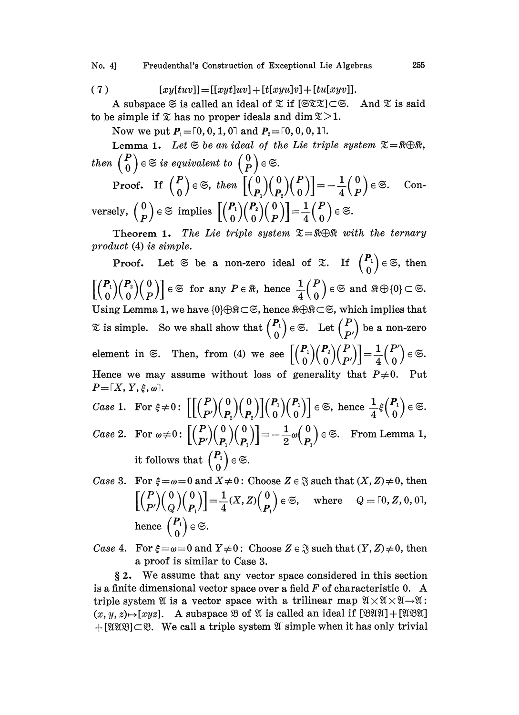No. 4] Freudenthal's Construction of Exceptional Lie Algebras 255

$$
(7) \qquad [xy[tuv]] = [[xyt]uv] + [t[xyu]v] + [tu[xyv]].
$$

A subspace  $\mathfrak{S}$  is called an ideal of  $\mathfrak{X}$  if  $[\mathfrak{S} \mathfrak{X}] \subset \mathfrak{S}$ . And  $\mathfrak{X}$  is said to be simple if  $\mathfrak X$  has no proper ideals and dim  $\mathfrak X > 1$ .

Now we put  $P_1 = [0, 0, 1, 0]$  and  $P_2 = [0, 0, 0, 1]$ .

Lemma 1. Let  $\mathfrak{S}$  be an ideal of the Lie triple system  $\mathfrak{S}=\mathfrak{R}\oplus\mathfrak{R}$ , then  $\begin{pmatrix} P \\ 0 \end{pmatrix} \in \mathfrak{S}$  is equivalent to  $\begin{pmatrix} 0 \\ P \end{pmatrix} \in \mathfrak{S}.$  $\frac{1}{4} \begin{pmatrix} 0 \\ P \end{pmatrix}$   $\in \mathfrak{S}$ . Con- $\text{versely, } \left( \frac{0}{P} \right) \in \mathfrak{S} \text{ implies } \left[ \left( \frac{P_1}{0} \right) \! \left( \frac{P_2}{0} \right) \! \left( \frac{0}{P} \right) \right] \! = \! \frac{1}{4} \! \left( \frac{P_1}{0} \right)$ 

Theorem 1. The Lie triple system  $\Sigma = \Re \Theta \Re$  with the ternary product (4) is simple.

**Proof.** Let  $\mathfrak{S}$  be a non-zero ideal of  $\mathfrak{X}$ . If  $\begin{pmatrix} P_1 \\ 0 \end{pmatrix} \in \mathfrak{S}$ , then Proof. Let  $\lessgtr$  be a non-zero ideal of  $\lessgtr$ . I<br>  $\left[\binom{P_1}{0}\binom{P_2}{0}\binom{0}{P}\right] \in \lessgtr$  for any  $P \in \Re$ , hence  $\frac{1}{4}\binom{P}{0} \in \lessgtr$ <br>
Ising Lemma 1 we have  $\{0\} \oplus \Re \subset \lessgtr$  hence  $\Re \oplus \Re \subset \lessgtr$  w  $\begin{bmatrix} \binom{P_1}{0}\binom{P_2}{0}\binom{0}{P} \end{bmatrix} \in \mathfrak{S}$  for any  $P \in \mathfrak{R}$ , hence  $\frac{1}{4} \binom{P}{0} \in \mathfrak{S}$  and  $\mathfrak{R} \oplus \{0\} \subset \mathfrak{S}$ .<br>Using Lemma 1, we have  $\{0\} \oplus \mathfrak{R} \subset \mathfrak{S}$ , hence  $\mathfrak{R} \oplus \mathfrak{R} \subset \mathfrak{S}$  $\mathfrak X$  is simple. So we shall show that  $\binom{P_1}{0} \in \mathfrak S$ . Let  $\binom{P}{P'}$  be a non-zero element in  $\Im$ . Then, from (4) we see  $[(\begin{pmatrix} P_1 \\ 0 \end{pmatrix})(\begin{pmatrix} P \\ p' \end{pmatrix})]=\frac{1}{4}(\begin{pmatrix} P' \\ 0 \end{pmatrix})\in \Im$ . Hence we may assume without loss of generality that  $P\neq 0$ . Put  $P = \lceil X, Y, \xi, \omega \rceil$ .  $\textit{Case 1. For } \xi \neq 0 \colon \left[ \left[ {P \choose P'} \left( 0 \atop P \right) \left( 0 \atop P \right) \right] \left( 0 \atop 0 \right) \left( 0 \atop 0 \right) \right] \in \mathfrak{S}, \text{ hence } \frac{1}{4}$ 

- Case 2. For  $\omega \neq 0$ :  $\left| {P \choose P'} {0 \choose P} {0 \choose P'} \right| = -\frac{1}{2} \omega {0 \choose P}$  $=-\frac{1}{2}\omega\begin{pmatrix} 0\\P_1\end{pmatrix}\in\mathfrak{S}.$  From Lemma 1,  $P_1 / P_1 / \Gamma$   $\overline{2}^{\omega}$   $\overline{P_1}$ it follows that  $\binom{P_1}{0}$   $\in \mathfrak{S}$ .
- Case 3. For  $\xi = \omega = 0$  and  $X \neq 0$ : Choose  $Z \in \mathcal{S}$  such that  $(X, Z) \neq 0$ , then  $\left[\binom{P}{P'}\binom{0}{Q}\binom{0}{P}\right]=\frac{1}{4}(X,Z)\binom{0}{P} \in \mathfrak{S}, \quad \text{where} \quad Q=\lceil 0, Z, 0, 0 \rceil,$ hence  $\begin{pmatrix} P_1 \\ 0 \end{pmatrix} \in \mathfrak{S}.$
- *Case* 4. For  $\xi = \omega = 0$  and  $Y \neq 0$ : Choose  $Z \in \mathfrak{F}$  such that  $(Y, Z) \neq 0$ , then a proof is similar to Case 3.

2. We assume that any vector space considered in this section is a finite dimensional vector space over a field  $F$  of characteristic 0. A triple system  $\mathfrak A$  is a vector space with a trilinear map  $\mathfrak A \times \mathfrak A \times \mathfrak A \rightarrow \mathfrak A$ :  $(x, y, z) \rightarrow [xyz]$ . A subspace  $\mathfrak{B}$  of  $\mathfrak A$  is called an ideal if  $[\mathfrak{BUX}] + [\mathfrak{XXX}]$  $+$ [IIIB] $\subset$ B. We call a triple system I simple when it has only trivial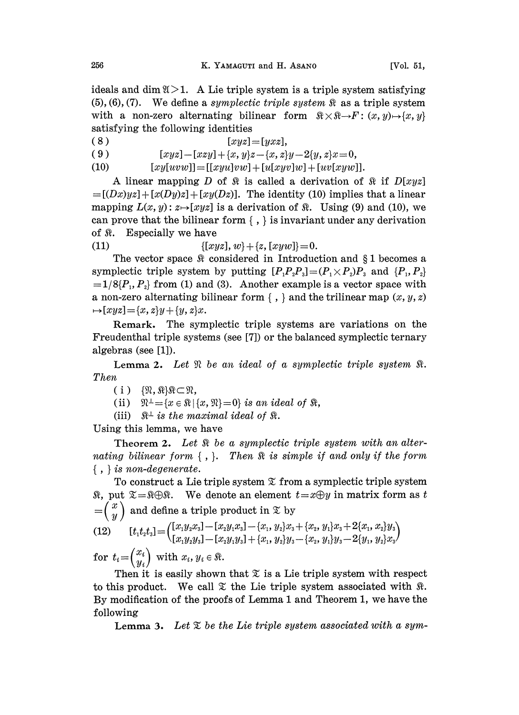ideals and dim  $\mathfrak{A} > 1$ . A Lie triple system is a triple system satisfying  $(5), (6), (7)$ . We define a *symplectic triple system*  $\Re$  as a triple system with a non-zero alternating bilinear form  $\mathbb{R} \times \mathbb{R} \rightarrow F : (x, y) \mapsto \{x, y\}$ satisfying the following identities

( 8 )  $[xyz]=[yz,]$ ( 9 )  $[xyz]-[xzy]+{x,y}{z-{x,z}}-2{y,z}{x=0}$ 

(10)  $[xy[uvw]] = [[xyu]vw] + [u[xyv]w] + [uv[xyw]].$ 

A linear mapping D of  $\Re$  is called a derivation of  $\Re$  if  $D[xyz]$  $=[(Dx)yz] + [x(Dy)z] + [xy(Dz)].$  The identity (10) implies that a linear mapping  $L(x, y)$ :  $z \mapsto [xyz]$  is a derivation of  $\Re$ . Using (9) and (10), we can prove that the bilinear form  $\{ , \}$  is invariant under any derivation of  $\Re$ . Especially we have

(11)  $\{[xyz], w\} + \{z, [xyw]\} = 0.$ 

The vector space  $\Re$  considered in Introduction and  $\S 1$  becomes a symplectic triple system by putting  $[P_1P_2P_3]=(P_1\times P_2)P_3$  and  $\{P_1,P_2\}$  $=1/8{P_1, P_2}$  from (1) and (3). Another example is a vector space with a non-zero alternating bilinear form  $\{ , \}$  and the trilinear map  $(x, y, z)$  $\rightarrow [xyz] = {x, z}y + {y, z}x.$ 

Remark. The symplectic triple systems are variations on the Freudenthal triple systems (see [7]) or the balanced symplectic ternary algebras (see [1]).

**Lemma 2.** Let  $\Re$  be an ideal of a symplectic triple system  $\Re$ . Then

 $(i) \{ \mathfrak{N}, \mathfrak{N} \} \mathfrak{N} \subset \mathfrak{N},$ 

(ii)  $\mathfrak{R}^{\perp} = \{x \in \mathfrak{R} \mid \{x, \mathfrak{R}\}=0\}$  is an ideal of  $\mathfrak{R}$ ,

(iii)  $\mathbb{R}^{\perp}$  is the maximal ideal of  $\mathbb{R}$ .

Using this lemma, we have

Theorem 2. Let  $\Re$  be a symplectic triple system with an alternating bilinear form  $\{ , \}$ . Then  $\Re$  is simple if and only if the form  $\{ , \}$  is non-degenerate.

To construct a Lie triple system  $\mathfrak X$  from a symplectic triple system  $\Re$ , put  $\mathfrak{X}=\Re\Theta\Re$ . We denote an element  $t=x\Theta y$  in matrix form as t  $\left(\begin{matrix} x\ y \end{matrix}\right)$  and define a triple product in  $\mathfrak X$  by

$$
(12) \qquad [t_1t_2t_3] = \begin{pmatrix} [x_1y_2x_3] - [x_2y_1x_3] - \{x_1, y_2\}x_3 + \{x_2, y_1\}x_3 + 2\{x_1, x_2\}y_3 \\ [x_1y_2y_3] - [x_2y_1y_3] + \{x_1, y_2\}y_3 - \{x_2, y_1\}y_3 - 2\{y_1, y_2\}x_3 \end{pmatrix}
$$

 $\text{for}~~t_i\text{=}\begin{pmatrix} x_i \ y_i \end{pmatrix} \text{ with } x_i, y_i \in$ 

Then it is easily shown that  $\Sigma$  is a Lie triple system with respect to this product. We call  $\mathfrak X$  the Lie triple system associated with  $\mathfrak R$ . By modification of the proofs of Lemma 1 and Theorem 1, we have the following

**Lemma 3.** Let  $\mathcal{I}$  be the Lie triple system associated with a sym-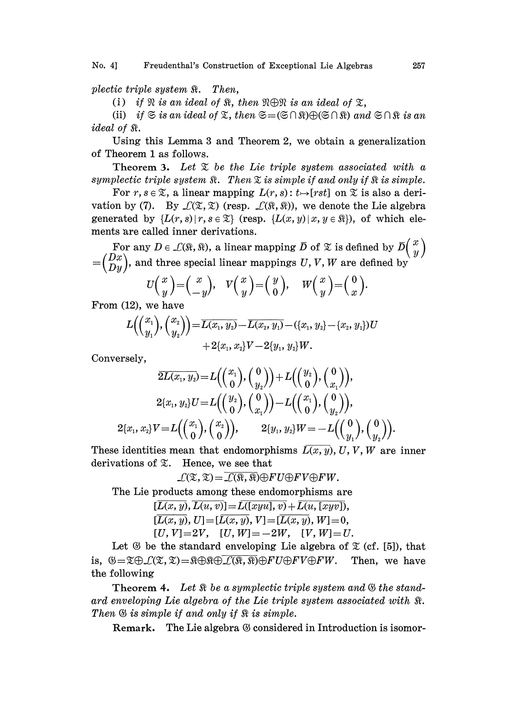No. 4] Freudenthal's Construction of Exceptional Lie Algebras 257

plectic triple system  $\Re$ . Then,

(i) if  $\Re$  is an ideal of  $\Re$ , then  $\Re \oplus \Re$  is an ideal of  $\Im$ ,

(ii) if  $\Im$  is an ideal of  $\Sigma$ , then  $\Im = (\Im \cap \Re) \oplus (\Im \cap \Re)$  and  $\Im \cap \Re$  is an *ideal of*  $\Re$ *.* 

Using this Lemma 3 and Theorem 2, we obtain a generalization of Theorem 1 as follows.

Theorem 3. Let  $\mathfrak X$  be the Lie triple system associated with a symplectic triple system  $\Re$ . Then  $\Sigma$  is simple if and only if  $\Re$  is simple.

For  $r, s \in \mathcal{X}$ , a linear mapping  $L(r, s) : t \mapsto [rst]$  on  $\mathcal{X}$  is also a derivation by (7). By  $\mathcal{L}(\mathfrak{T}, \mathfrak{T})$  (resp.  $\mathcal{L}(\mathfrak{R}, \mathfrak{R})$ ), we denote the Lie algebra generated by  $\{L(r, s) | r, s \in \mathfrak{X}\}\$  (resp.  $\{L(x, y) | x, y \in \mathfrak{R}\}\)$ , of which elements are called inner derivations.

For any  $D \in \mathcal{L}(\mathbb{R}, \mathbb{R})$ , a linear mapping  $\overline{D}$  of  $\mathbb X$  is defined by  $\overline{D} \begin{pmatrix} x \\ y \end{pmatrix}$  $=(\frac{Dx}{Dy})$ , and three special linear mappings U, V, W are defined by

$$
U\left(\begin{array}{c}x\\y\end{array}\right)=\left(\begin{array}{c}x\\-y\end{array}\right),\quad V\left(\begin{array}{c}x\\y\end{array}\right)=\left(\begin{array}{c}y\\0\end{array}\right),\quad W\left(\begin{array}{c}x\\y\end{array}\right)=\left(\begin{array}{c}0\\x\end{array}\right).
$$

From (12), we have

$$
\begin{aligned} L\Big({x_1 \choose y_1}, {x_2 \choose y_2}\Big) {=} \overline{L(x_1,y_2)} {-} \overline{L(x_2,y_1)} {-} (\{x_1,y_2\} {-} \{x_2,y_1\})U \\&+ 2\{x_1,x_2\}V {-} 2\{y_1,y_2\}W.\end{aligned}
$$

Conversely,

$$
\overline{2L(x_{1},y_{2})}\!=\!L\!\Big(\!\Big(\!\!\begin{array}{c}x_{1} \\ 0\end{array}\!\!\Big)\!,\!\Big(\!\!\begin{array}{c}0 \\ y_{2}\end{array}\!\!\Big)\!\Big)\!+\!L\!\Big(\!\!\Big(\!\!\begin{array}{c}y_{2} \\ 0\end{array}\!\!\Big)\!,\!\Big(\!\!\begin{array}{c}0 \\ x_{1}\end{array}\!\!\Big)\!\Big),\\2\{x_{1},y_{2}\}U\!=\!L\!\Big(\!\!\Big(\!\!\begin{array}{c}y_{2} \\ 0\end{array}\!\!\Big)\!,\Big(\!\!\begin{array}{c}0 \\ x_{1}\end{array}\!\!\Big)\!\Big)\!-\!L\!\Big(\!\!\begin{array}{c}x_{1} \\ 0\end{array}\!\!\Big)\!,\Big(\!\!\begin{array}{c}0 \\ y_{2}\end{array}\!\!\Big)\!\Big),\\2\{x_{1},x_{2}\}V\!=\!L\!\Big(\!\!\Big(\!\!\begin{array}{c}x_{1} \\ 0\end{array}\!\!\Big)\!,\Big(\!\!\begin{array}{c}x_{2} \\ 0\end{array}\!\!\Big)\!\Big),\qquad 2\{y_{1},y_{2}\}W\!=\!-L\!\Big(\!\!\Big(\!\!\begin{array}{c}0 \\ y_{1}\end{array}\!\!\Big)\!,\Big(\!\!\begin{array}{c}0 \\ y_{2}\end{array}\!\!\Big)\!\Big)
$$

These identities mean that endomorphisms  $\overline{L(x, y)}$ , U, V, W are inner derivations of  $\mathfrak{X}$ . Hence, we see that

$$
\mathcal{L}(\mathfrak{X},\mathfrak{X})=\overline{\mathcal{L}(\mathfrak{X},\mathfrak{X})}\oplus FU\oplus FV\oplus FW.
$$

The Lie products among these endomorphisms are

 $[\overline{L(x, y)}, \overline{L(u, v)}] = \overline{L([xyu], v)} + \overline{L(u, [xyv]},$  $[\overline{L(x, y)}, U] = [\overline{L(x, y)}, V] = [\overline{L(x, y)}, W] = 0,$  $[U, V]=2V, \quad [U, W]=-2W, \quad [V, W]=U.$ 

Let  $\mathfrak G$  be the standard enveloping Lie algebra of  $\mathfrak X$  (cf. [5]), that is,  $\mathfrak{G}=\mathfrak{X}\oplus\mathcal{L}(\mathfrak{X},\mathfrak{X})=\mathfrak{R}\oplus\mathfrak{R}\oplus\mathcal{L}(\mathfrak{R},\mathfrak{N})\oplus FU\oplus FV\oplus FW$ . Then, we have the following

Theorem 4. Let  $\Re$  be a symplectic triple system and  $\Im$  the standard enveloping Lie algebra of the Lie triple system associated with  $\Re$ . Then  $\mathfrak G$  is simple if and only if  $\mathfrak R$  is simple.

Remark. The Lie algebra  $\mathcal G$  considered in Introduction is isomor-